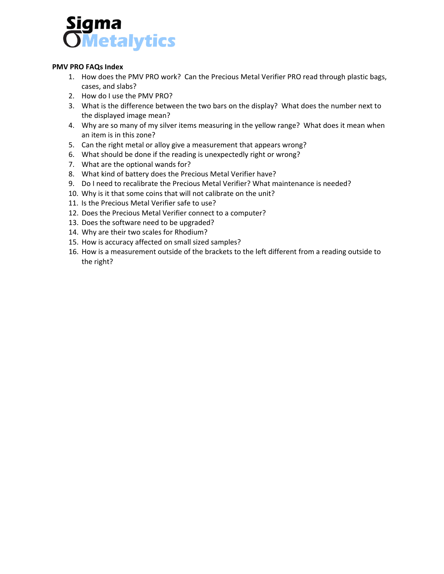

#### **PMV PRO FAQs Index**

- 1. How does the PMV PRO work? Can the Precious Metal Verifier PRO read through plastic bags, cases, and slabs?
- 2. How do I use the PMV PRO?
- 3. What is the difference between the two bars on the display? What does the number next to the displayed image mean?
- 4. Why are so many of my silver items measuring in the yellow range? What does it mean when an item is in this zone?
- 5. Can the right metal or alloy give a measurement that appears wrong?
- 6. What should be done if the reading is unexpectedly right or wrong?
- 7. What are the optional wands for?
- 8. What kind of battery does the Precious Metal Verifier have?
- 9. Do I need to recalibrate the Precious Metal Verifier? What maintenance is needed?
- 10. Why is it that some coins that will not calibrate on the unit?
- 11. Is the Precious Metal Verifier safe to use?
- 12. Does the Precious Metal Verifier connect to a computer?
- 13. Does the software need to be upgraded?
- 14. Why are their two scales for Rhodium?
- 15. How is accuracy affected on small sized samples?
- 16. How is a measurement outside of the brackets to the left different from a reading outside to the right?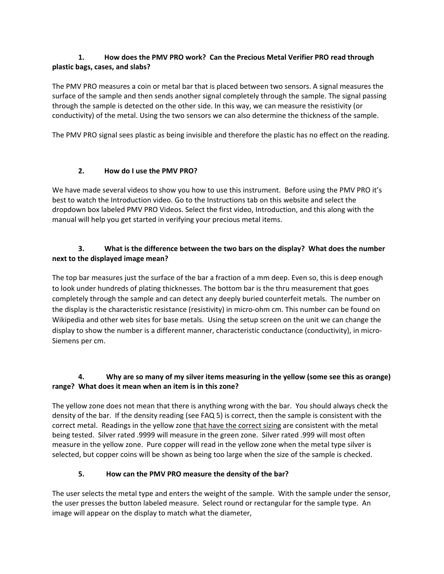### **1. How does the PMV PRO work? Can the Precious Metal Verifier PRO read through plastic bags, cases, and slabs?**

The PMV PRO measures a coin or metal bar that is placed between two sensors. A signal measures the surface of the sample and then sends another signal completely through the sample. The signal passing through the sample is detected on the other side. In this way, we can measure the resistivity (or conductivity) of the metal. Using the two sensors we can also determine the thickness of the sample.

The PMV PRO signal sees plastic as being invisible and therefore the plastic has no effect on the reading.

## **2. How do I use the PMV PRO?**

We have made several videos to show you how to use this instrument. Before using the PMV PRO it's best to watch the Introduction video. Go to the Instructions tab on this website and select the dropdown box labeled PMV PRO Videos. Select the first video, Introduction, and this along with the manual will help you get started in verifying your precious metal items.

## **3. What is the difference between the two bars on the display? What does the number next to the displayed image mean?**

The top bar measures just the surface of the bar a fraction of a mm deep. Even so, this is deep enough to look under hundreds of plating thicknesses. The bottom bar is the thru measurement that goes completely through the sample and can detect any deeply buried counterfeit metals. The number on the display is the characteristic resistance (resistivity) in micro-ohm cm. This number can be found on Wikipedia and other web sites for base metals. Using the setup screen on the unit we can change the display to show the number is a different manner, characteristic conductance (conductivity), in micro-Siemens per cm.

# **4. Why are so many of my silver items measuring in the yellow (some see this as orange) range? What does it mean when an item is in this zone?**

The yellow zone does not mean that there is anything wrong with the bar. You should always check the density of the bar. If the density reading (see FAQ 5) is correct, then the sample is consistent with the correct metal. Readings in the yellow zone that have the correct sizing are consistent with the metal being tested. Silver rated .9999 will measure in the green zone. Silver rated .999 will most often measure in the yellow zone. Pure copper will read in the yellow zone when the metal type silver is selected, but copper coins will be shown as being too large when the size of the sample is checked.

# **5. How can the PMV PRO measure the density of the bar?**

The user selects the metal type and enters the weight of the sample. With the sample under the sensor, the user presses the button labeled measure. Select round or rectangular for the sample type. An image will appear on the display to match what the diameter,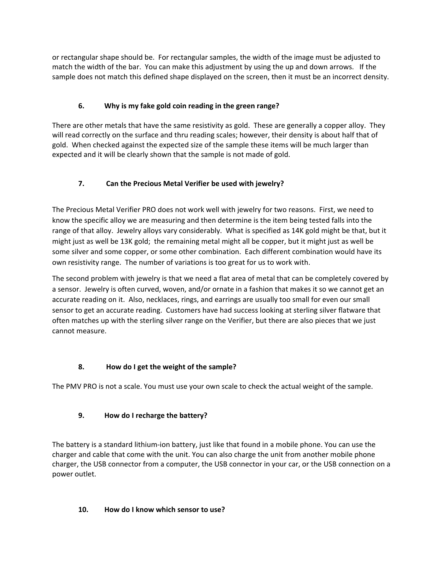or rectangular shape should be. For rectangular samples, the width of the image must be adjusted to match the width of the bar. You can make this adjustment by using the up and down arrows. If the sample does not match this defined shape displayed on the screen, then it must be an incorrect density.

## **6. Why is my fake gold coin reading in the green range?**

There are other metals that have the same resistivity as gold. These are generally a copper alloy. They will read correctly on the surface and thru reading scales; however, their density is about half that of gold. When checked against the expected size of the sample these items will be much larger than expected and it will be clearly shown that the sample is not made of gold.

## **7. Can the Precious Metal Verifier be used with jewelry?**

The Precious Metal Verifier PRO does not work well with jewelry for two reasons. First, we need to know the specific alloy we are measuring and then determine is the item being tested falls into the range of that alloy. Jewelry alloys vary considerably. What is specified as 14K gold might be that, but it might just as well be 13K gold; the remaining metal might all be copper, but it might just as well be some silver and some copper, or some other combination. Each different combination would have its own resistivity range. The number of variations is too great for us to work with.

The second problem with jewelry is that we need a flat area of metal that can be completely covered by a sensor. Jewelry is often curved, woven, and/or ornate in a fashion that makes it so we cannot get an accurate reading on it. Also, necklaces, rings, and earrings are usually too small for even our small sensor to get an accurate reading. Customers have had success looking at sterling silver flatware that often matches up with the sterling silver range on the Verifier, but there are also pieces that we just cannot measure.

# **8. How do I get the weight of the sample?**

The PMV PRO is not a scale. You must use your own scale to check the actual weight of the sample.

### **9. How do I recharge the battery?**

The battery is a standard lithium-ion battery, just like that found in a mobile phone. You can use the charger and cable that come with the unit. You can also charge the unit from another mobile phone charger, the USB connector from a computer, the USB connector in your car, or the USB connection on a power outlet.

### **10. How do I know which sensor to use?**